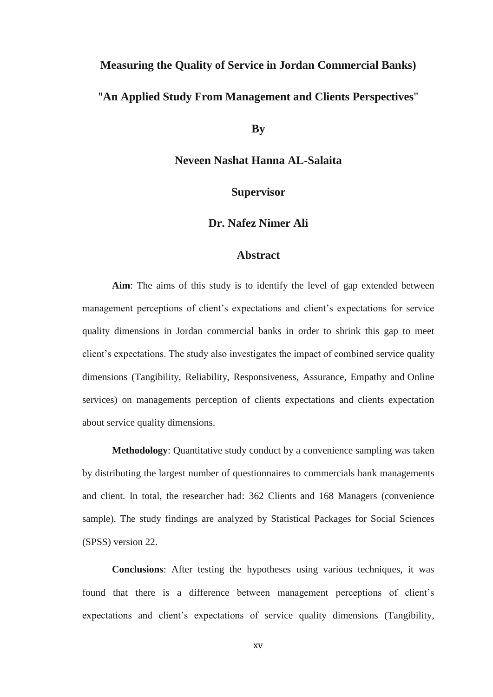## **Measuring the Quality of Service in Jordan Commercial Banks)** "**An Applied Study From Management and Clients Perspectives**"

**By**

**Neveen Nashat Hanna AL-Salaita**

**Supervisor**

**Dr. Nafez Nimer Ali**

## **Abstract**

**Aim**: The aims of this study is to identify the level of gap extended between management perceptions of client's expectations and client's expectations for service quality dimensions in Jordan commercial banks in order to shrink this gap to meet client's expectations. The study also investigates the impact of combined service quality dimensions (Tangibility, Reliability, Responsiveness, Assurance, Empathy and Online services) on managements perception of clients expectations and clients expectation about service quality dimensions.

**Methodology**: Quantitative study conduct by a convenience sampling was taken by distributing the largest number of questionnaires to commercials bank managements and client. In total, the researcher had: 362 Clients and 168 Managers (convenience sample). The study findings are analyzed by Statistical Packages for Social Sciences (SPSS) version 22.

**Conclusions**: After testing the hypotheses using various techniques, it was found that there is a difference between management perceptions of client"s expectations and client"s expectations of service quality dimensions (Tangibility,